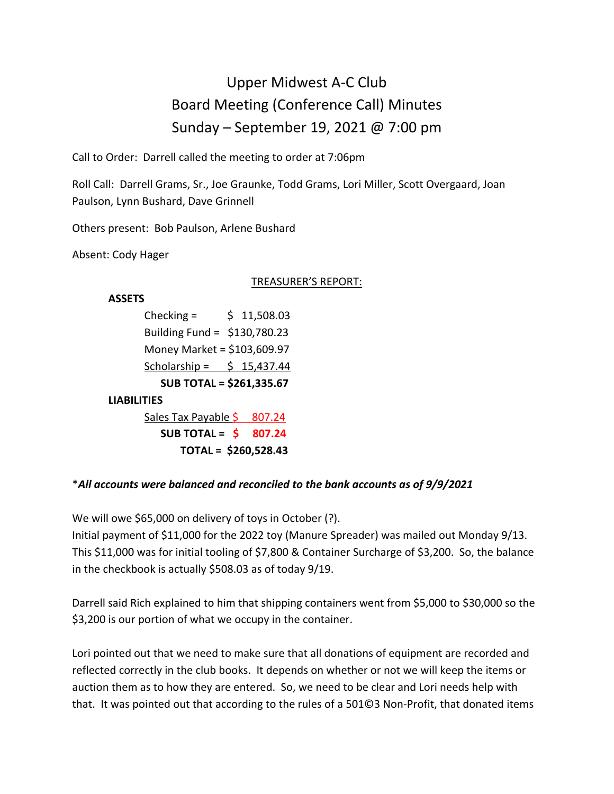# Upper Midwest A-C Club Board Meeting (Conference Call) Minutes Sunday – September 19, 2021 @ 7:00 pm

Call to Order: Darrell called the meeting to order at 7:06pm

Roll Call: Darrell Grams, Sr., Joe Graunke, Todd Grams, Lori Miller, Scott Overgaard, Joan Paulson, Lynn Bushard, Dave Grinnell

Others present: Bob Paulson, Arlene Bushard

Absent: Cody Hager

#### TREASURER'S REPORT:

#### **ASSETS**

| Checking $=$                          |  | \$11,508.03 |
|---------------------------------------|--|-------------|
| Building Fund = $$130,780.23$         |  |             |
| Money Market = \$103,609.97           |  |             |
| Scholarship = $\frac{1}{2}$ 15,437.44 |  |             |
| <b>SUB TOTAL = \$261,335.67</b>       |  |             |
| <b>LIABILITIES</b>                    |  |             |
| Sales Tax Payable \$                  |  | 807.24      |
| SUB TOTAL = $\oint$                   |  | 807.24      |

**TOTAL = \$260,528.43**

## \**All accounts were balanced and reconciled to the bank accounts as of 9/9/2021*

We will owe \$65,000 on delivery of toys in October (?).

Initial payment of \$11,000 for the 2022 toy (Manure Spreader) was mailed out Monday 9/13. This \$11,000 was for initial tooling of \$7,800 & Container Surcharge of \$3,200. So, the balance in the checkbook is actually \$508.03 as of today 9/19.

Darrell said Rich explained to him that shipping containers went from \$5,000 to \$30,000 so the \$3,200 is our portion of what we occupy in the container.

Lori pointed out that we need to make sure that all donations of equipment are recorded and reflected correctly in the club books. It depends on whether or not we will keep the items or auction them as to how they are entered. So, we need to be clear and Lori needs help with that. It was pointed out that according to the rules of a 501©3 Non-Profit, that donated items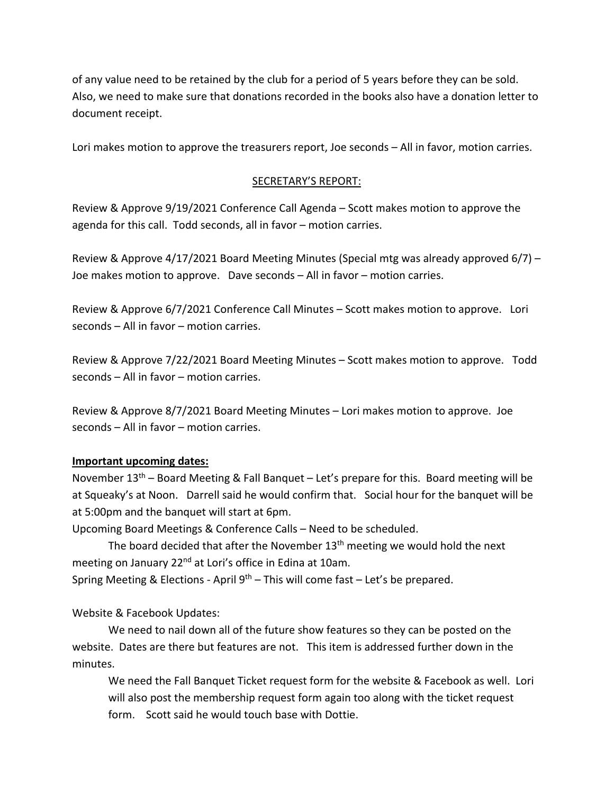of any value need to be retained by the club for a period of 5 years before they can be sold. Also, we need to make sure that donations recorded in the books also have a donation letter to document receipt.

Lori makes motion to approve the treasurers report, Joe seconds – All in favor, motion carries.

#### SECRETARY'S REPORT:

Review & Approve 9/19/2021 Conference Call Agenda – Scott makes motion to approve the agenda for this call. Todd seconds, all in favor – motion carries.

Review & Approve 4/17/2021 Board Meeting Minutes (Special mtg was already approved 6/7) – Joe makes motion to approve. Dave seconds – All in favor – motion carries.

Review & Approve 6/7/2021 Conference Call Minutes – Scott makes motion to approve. Lori seconds – All in favor – motion carries.

Review & Approve 7/22/2021 Board Meeting Minutes – Scott makes motion to approve. Todd seconds – All in favor – motion carries.

Review & Approve 8/7/2021 Board Meeting Minutes – Lori makes motion to approve. Joe seconds – All in favor – motion carries.

#### **Important upcoming dates:**

November 13<sup>th</sup> – Board Meeting & Fall Banquet – Let's prepare for this. Board meeting will be at Squeaky's at Noon. Darrell said he would confirm that. Social hour for the banquet will be at 5:00pm and the banquet will start at 6pm.

Upcoming Board Meetings & Conference Calls – Need to be scheduled.

The board decided that after the November  $13<sup>th</sup>$  meeting we would hold the next meeting on January 22<sup>nd</sup> at Lori's office in Edina at 10am.

Spring Meeting & Elections - April  $9<sup>th</sup>$  – This will come fast – Let's be prepared.

Website & Facebook Updates:

We need to nail down all of the future show features so they can be posted on the website. Dates are there but features are not. This item is addressed further down in the minutes.

We need the Fall Banquet Ticket request form for the website & Facebook as well. Lori will also post the membership request form again too along with the ticket request form. Scott said he would touch base with Dottie.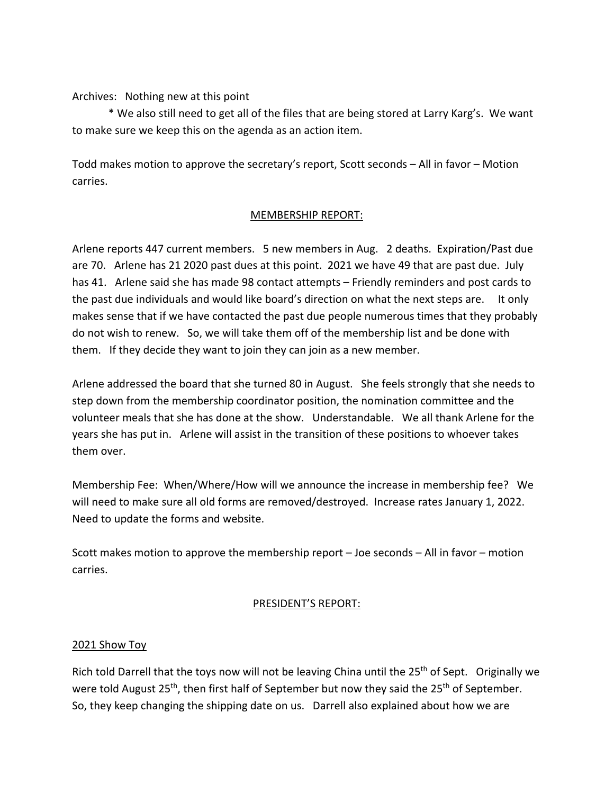Archives: Nothing new at this point

\* We also still need to get all of the files that are being stored at Larry Karg's. We want to make sure we keep this on the agenda as an action item.

Todd makes motion to approve the secretary's report, Scott seconds – All in favor – Motion carries.

## MEMBERSHIP REPORT:

Arlene reports 447 current members. 5 new members in Aug. 2 deaths. Expiration/Past due are 70. Arlene has 21 2020 past dues at this point. 2021 we have 49 that are past due. July has 41. Arlene said she has made 98 contact attempts – Friendly reminders and post cards to the past due individuals and would like board's direction on what the next steps are. It only makes sense that if we have contacted the past due people numerous times that they probably do not wish to renew. So, we will take them off of the membership list and be done with them. If they decide they want to join they can join as a new member.

Arlene addressed the board that she turned 80 in August. She feels strongly that she needs to step down from the membership coordinator position, the nomination committee and the volunteer meals that she has done at the show. Understandable. We all thank Arlene for the years she has put in. Arlene will assist in the transition of these positions to whoever takes them over.

Membership Fee: When/Where/How will we announce the increase in membership fee? We will need to make sure all old forms are removed/destroyed. Increase rates January 1, 2022. Need to update the forms and website.

Scott makes motion to approve the membership report – Joe seconds – All in favor – motion carries.

## PRESIDENT'S REPORT:

## 2021 Show Toy

Rich told Darrell that the toys now will not be leaving China until the 25<sup>th</sup> of Sept. Originally we were told August 25<sup>th</sup>, then first half of September but now they said the 25<sup>th</sup> of September. So, they keep changing the shipping date on us. Darrell also explained about how we are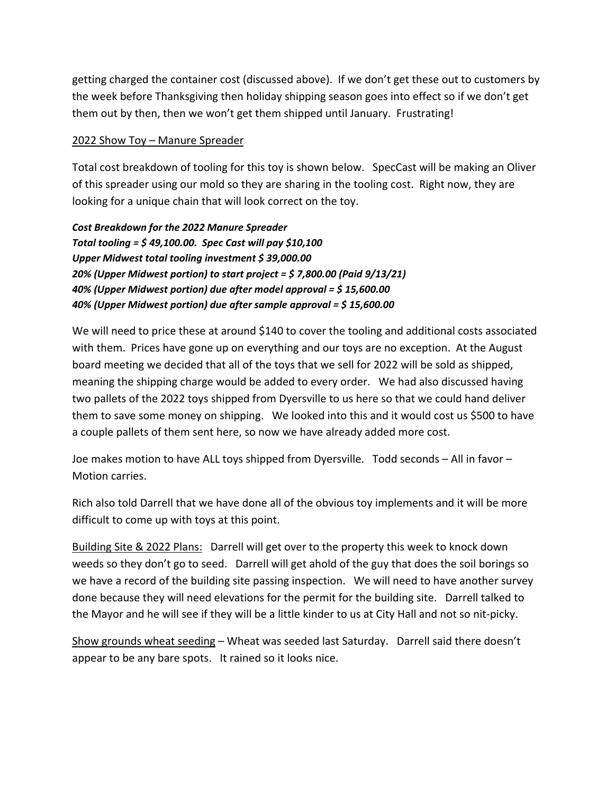getting charged the container cost (discussed above). If we don't get these out to customers by the week before Thanksgiving then holiday shipping season goes into effect so if we don't get them out by then, then we won't get them shipped until January. Frustrating!

## 2022 Show Toy – Manure Spreader

Total cost breakdown of tooling for this toy is shown below. SpecCast will be making an Oliver of this spreader using our mold so they are sharing in the tooling cost. Right now, they are looking for a unique chain that will look correct on the toy.

*Cost Breakdown for the 2022 Manure Spreader Total tooling = \$ 49,100.00. Spec Cast will pay \$10,100 Upper Midwest total tooling investment \$ 39,000.00 20% (Upper Midwest portion) to start project = \$ 7,800.00 (Paid 9/13/21) 40% (Upper Midwest portion) due after model approval = \$ 15,600.00 40% (Upper Midwest portion) due after sample approval = \$ 15,600.00* 

We will need to price these at around \$140 to cover the tooling and additional costs associated with them. Prices have gone up on everything and our toys are no exception. At the August board meeting we decided that all of the toys that we sell for 2022 will be sold as shipped, meaning the shipping charge would be added to every order. We had also discussed having two pallets of the 2022 toys shipped from Dyersville to us here so that we could hand deliver them to save some money on shipping. We looked into this and it would cost us \$500 to have a couple pallets of them sent here, so now we have already added more cost.

Joe makes motion to have ALL toys shipped from Dyersville. Todd seconds – All in favor – Motion carries.

Rich also told Darrell that we have done all of the obvious toy implements and it will be more difficult to come up with toys at this point.

Building Site & 2022 Plans: Darrell will get over to the property this week to knock down weeds so they don't go to seed. Darrell will get ahold of the guy that does the soil borings so we have a record of the building site passing inspection. We will need to have another survey done because they will need elevations for the permit for the building site. Darrell talked to the Mayor and he will see if they will be a little kinder to us at City Hall and not so nit-picky.

Show grounds wheat seeding – Wheat was seeded last Saturday. Darrell said there doesn't appear to be any bare spots. It rained so it looks nice.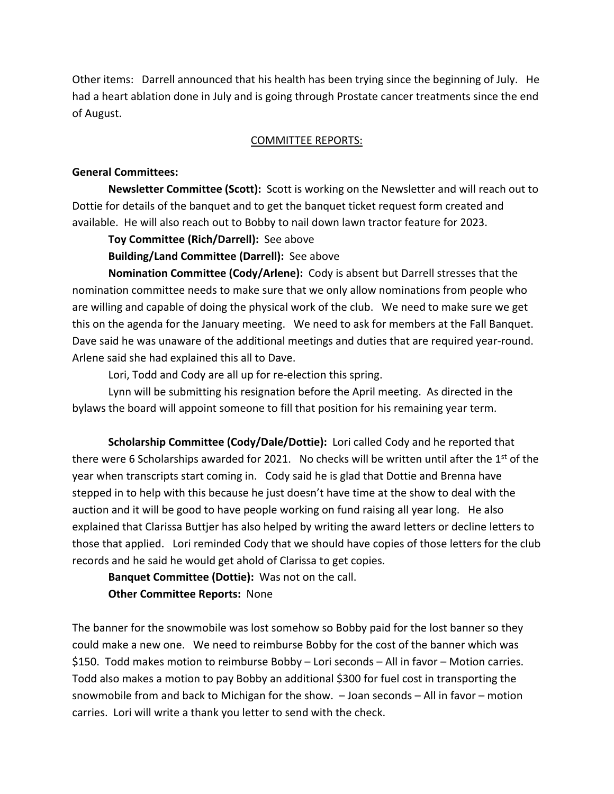Other items: Darrell announced that his health has been trying since the beginning of July. He had a heart ablation done in July and is going through Prostate cancer treatments since the end of August.

#### COMMITTEE REPORTS:

#### **General Committees:**

**Newsletter Committee (Scott):** Scott is working on the Newsletter and will reach out to Dottie for details of the banquet and to get the banquet ticket request form created and available. He will also reach out to Bobby to nail down lawn tractor feature for 2023.

**Toy Committee (Rich/Darrell):** See above

**Building/Land Committee (Darrell):** See above

**Nomination Committee (Cody/Arlene):** Cody is absent but Darrell stresses that the nomination committee needs to make sure that we only allow nominations from people who are willing and capable of doing the physical work of the club. We need to make sure we get this on the agenda for the January meeting. We need to ask for members at the Fall Banquet. Dave said he was unaware of the additional meetings and duties that are required year-round. Arlene said she had explained this all to Dave.

Lori, Todd and Cody are all up for re-election this spring.

Lynn will be submitting his resignation before the April meeting. As directed in the bylaws the board will appoint someone to fill that position for his remaining year term.

**Scholarship Committee (Cody/Dale/Dottie):** Lori called Cody and he reported that there were 6 Scholarships awarded for 2021. No checks will be written until after the  $1<sup>st</sup>$  of the year when transcripts start coming in. Cody said he is glad that Dottie and Brenna have stepped in to help with this because he just doesn't have time at the show to deal with the auction and it will be good to have people working on fund raising all year long. He also explained that Clarissa Buttjer has also helped by writing the award letters or decline letters to those that applied. Lori reminded Cody that we should have copies of those letters for the club records and he said he would get ahold of Clarissa to get copies.

**Banquet Committee (Dottie):** Was not on the call. **Other Committee Reports:** None

The banner for the snowmobile was lost somehow so Bobby paid for the lost banner so they could make a new one. We need to reimburse Bobby for the cost of the banner which was \$150. Todd makes motion to reimburse Bobby – Lori seconds – All in favor – Motion carries. Todd also makes a motion to pay Bobby an additional \$300 for fuel cost in transporting the snowmobile from and back to Michigan for the show. – Joan seconds – All in favor – motion carries. Lori will write a thank you letter to send with the check.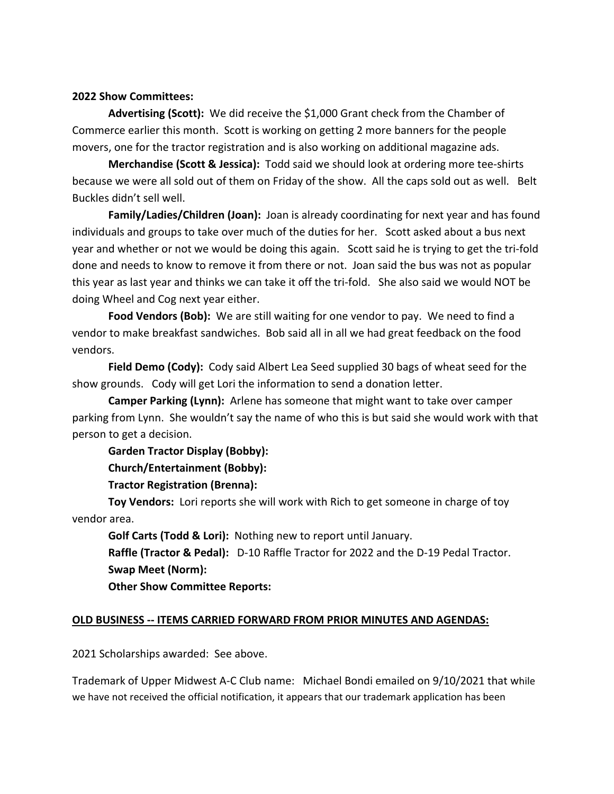#### **2022 Show Committees:**

**Advertising (Scott):** We did receive the \$1,000 Grant check from the Chamber of Commerce earlier this month. Scott is working on getting 2 more banners for the people movers, one for the tractor registration and is also working on additional magazine ads.

**Merchandise (Scott & Jessica):** Todd said we should look at ordering more tee-shirts because we were all sold out of them on Friday of the show. All the caps sold out as well. Belt Buckles didn't sell well.

**Family/Ladies/Children (Joan):** Joan is already coordinating for next year and has found individuals and groups to take over much of the duties for her. Scott asked about a bus next year and whether or not we would be doing this again. Scott said he is trying to get the tri-fold done and needs to know to remove it from there or not. Joan said the bus was not as popular this year as last year and thinks we can take it off the tri-fold. She also said we would NOT be doing Wheel and Cog next year either.

**Food Vendors (Bob):** We are still waiting for one vendor to pay. We need to find a vendor to make breakfast sandwiches. Bob said all in all we had great feedback on the food vendors.

**Field Demo (Cody):** Cody said Albert Lea Seed supplied 30 bags of wheat seed for the show grounds. Cody will get Lori the information to send a donation letter.

**Camper Parking (Lynn):** Arlene has someone that might want to take over camper parking from Lynn. She wouldn't say the name of who this is but said she would work with that person to get a decision.

**Garden Tractor Display (Bobby):** 

**Church/Entertainment (Bobby):**

**Tractor Registration (Brenna):**

**Toy Vendors:** Lori reports she will work with Rich to get someone in charge of toy vendor area.

**Golf Carts (Todd & Lori):** Nothing new to report until January.

**Raffle (Tractor & Pedal):** D-10 Raffle Tractor for 2022 and the D-19 Pedal Tractor. **Swap Meet (Norm):**

**Other Show Committee Reports:**

## **OLD BUSINESS -- ITEMS CARRIED FORWARD FROM PRIOR MINUTES AND AGENDAS:**

2021 Scholarships awarded: See above.

Trademark of Upper Midwest A-C Club name: Michael Bondi emailed on 9/10/2021 that while we have not received the official notification, it appears that our trademark application has been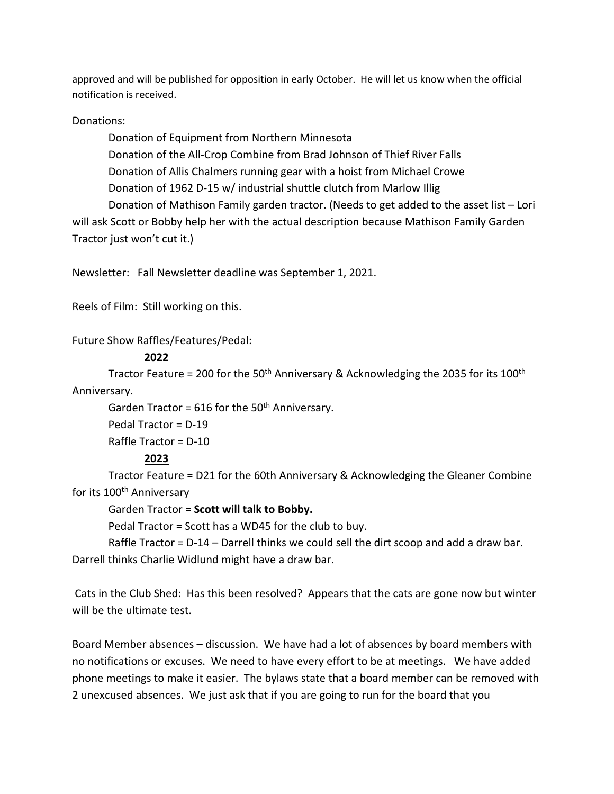approved and will be published for opposition in early October. He will let us know when the official notification is received.

Donations:

Donation of Equipment from Northern Minnesota Donation of the All-Crop Combine from Brad Johnson of Thief River Falls Donation of Allis Chalmers running gear with a hoist from Michael Crowe Donation of 1962 D-15 w/ industrial shuttle clutch from Marlow Illig

Donation of Mathison Family garden tractor. (Needs to get added to the asset list – Lori will ask Scott or Bobby help her with the actual description because Mathison Family Garden Tractor just won't cut it.)

Newsletter: Fall Newsletter deadline was September 1, 2021.

Reels of Film: Still working on this.

Future Show Raffles/Features/Pedal:

#### **2022**

Tractor Feature = 200 for the 50<sup>th</sup> Anniversary & Acknowledging the 2035 for its 100<sup>th</sup> Anniversary.

Garden Tractor =  $616$  for the  $50<sup>th</sup>$  Anniversary.

Pedal Tractor = D-19

Raffle Tractor = D-10

## **2023**

Tractor Feature = D21 for the 60th Anniversary & Acknowledging the Gleaner Combine for its 100<sup>th</sup> Anniversary

Garden Tractor = **Scott will talk to Bobby.**

Pedal Tractor = Scott has a WD45 for the club to buy.

Raffle Tractor = D-14 – Darrell thinks we could sell the dirt scoop and add a draw bar.

Darrell thinks Charlie Widlund might have a draw bar.

Cats in the Club Shed: Has this been resolved? Appears that the cats are gone now but winter will be the ultimate test.

Board Member absences – discussion. We have had a lot of absences by board members with no notifications or excuses. We need to have every effort to be at meetings. We have added phone meetings to make it easier. The bylaws state that a board member can be removed with 2 unexcused absences. We just ask that if you are going to run for the board that you